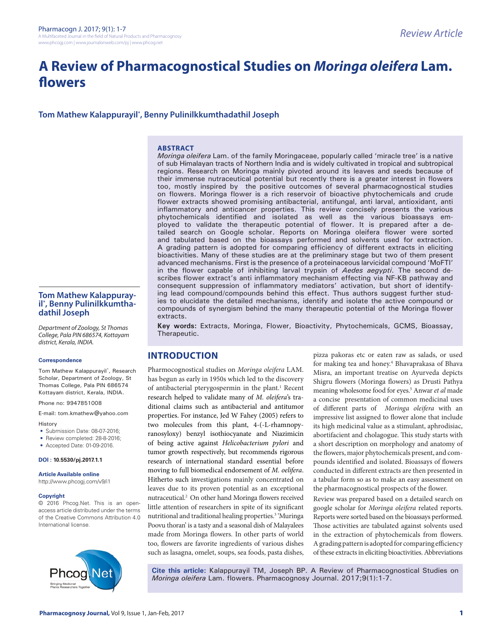# **A Review of Pharmacognostical Studies on** *Moringa oleifera* **Lam. flowers**

# **Tom Mathew Kalappurayil\* , Benny Pulinilkkumthadathil Joseph**

#### **ABSTRACT**

*Moringa oleifera* Lam. of the family Moringaceae, popularly called 'miracle tree' is a native of sub Himalayan tracts of Northern India and is widely cultivated in tropical and subtropical regions. Research on Moringa mainly pivoted around its leaves and seeds because of their immense nutraceutical potential but recently there is a greater interest in flowers too, mostly inspired by the positive outcomes of several pharmacognostical studies on flowers. Moringa flower is a rich reservoir of bioactive phytochemicals and crude flower extracts showed promising antibacterial, antifungal, anti larval, antioxidant, anti inflammatory and anticancer properties. This review concisely presents the various phytochemicals identified and isolated as well as the various bioassays employed to validate the therapeutic potential of flower. It is prepared after a detailed search on Google scholar. Reports on Moringa oleifera flower were sorted and tabulated based on the bioassays performed and solvents used for extraction. A grading pattern is adopted for comparing efficiency of different extracts in eliciting bioactivities. Many of these studies are at the preliminary stage but two of them present advanced mechanisms. First is the presence of a proteinaceous larvicidal compound 'MoFTI' in the flower capable of inhibiting larval trypsin of *Aedes aegypti*. The second describes flower extract's anti inflammatory mechanism effecting via NF-KB pathway and consequent suppression of inflammatory mediators' activation, but short of identifying lead compound/compounds behind this effect. Thus authors suggest further studies to elucidate the detailed mechanisms, identify and isolate the active compound or compounds of synergism behind the many therapeutic potential of the Moringa flower extracts.

**Key words:** Extracts, Moringa, Flower, Bioactivity, Phytochemicals, GCMS, Bioassay, Therapeutic.

# **INTRODUCTION**

Pharmocognostical studies on *Moringa oleifera* LAM. has begun as early in 1950s which led to the discovery of antibacterial pterygospermin in the plant.<sup>1</sup> Recent research helped to validate many of *M. oleifera*'s traditional claims such as antibacterial and antitumor properties. For instance, Jed W Fahey (2005) refers to two molecules from this plant, 4-(-L-rhamnopyranosyloxy) benzyl isothiocyanate and Niazimicin of being active against *Helicobacterium pylori* and tumor growth respectively, but recommends rigorous research of international standard essential before moving to full biomedical endorsement of *M. oelifera*. Hitherto such investigations mainly concentrated on leaves due to its proven potential as an exceptional nutraceutical.2 On other hand Moringa flowers received little attention of researchers in spite of its significant nutritional and traditional healing properties.<sup>3</sup> 'Muringa Poovu thoran' is a tasty and a seasonal dish of Malayalees made from Moringa flowers. In other parts of world too, flowers are favorite ingredients of various dishes such as lasagna, omelet, soups, sea foods, pasta dishes,

pizza pakoras etc or eaten raw as salads, or used for making tea and honey.4 Bhavaprakasa of Bhava Misra, an important treatise on Ayurveda depicts Shigru flowers (Moringa flowers) as Drusti Pathya meaning wholesome food for eyes.5 Anwar *et al* made a concise presentation of common medicinal uses of different parts of *Moringa oleifera* with an impressive list assigned to flower alone that include its high medicinal value as a stimulant, aphrodisiac, abortifacient and cholagogue. This study starts with a short description on morphology and anatomy of the flowers, major phytochemicals present, and compounds identified and isolated. Bioassays of flowers conducted in different extracts are then presented in a tabular form so as to make an easy assessment on the pharmacognostical prospects of the flower.

Review was prepared based on a detailed search on google scholar for *Moringa oleifera* related reports. Reports were sorted based on the bioassays performed. Those activities are tabulated against solvents used in the extraction of phytochemicals from flowers. A grading pattern is adopted for comparing efficiency of these extracts in eliciting bioactivities. Abbreviations

**Cite this article:** Kalappurayil TM, Joseph BP. A Review of Pharmacognostical Studies on *Moringa oleifera* Lam. flowers. Pharmacognosy Journal. 2017;9(1):1-7.

**dathil Joseph** *Department of Zoology, St Thomas College, Pala PIN 686574, Kottayam district, Kerala, INDIA.*

**Tom Mathew Kalappurayil\* , Benny Pulinilkkumtha-**

#### **Correspondence**

Tom Mathew Kalappurayil\*, Research Scholar, Department of Zoology, St. Thomas College, Pala PIN 686574 Kottayam district, Kerala, INDIA.

Phone no: 9947851008

E-mail: tom.kmathew@yahoo.com

History

- Submission Date: 08-07-2016;
- Review completed: 28-8-2016;
- Accepted Date: 01-09-2016.

**DOI : 10.5530/pj.2017.1.1**

**Article Available online** 

http://www.phcogj.com/v9/i1

#### **Copyright**

© 2016 Phcog.Net. This is an openaccess article distributed under the terms of the Creative Commons Attribution 4.0 International license.

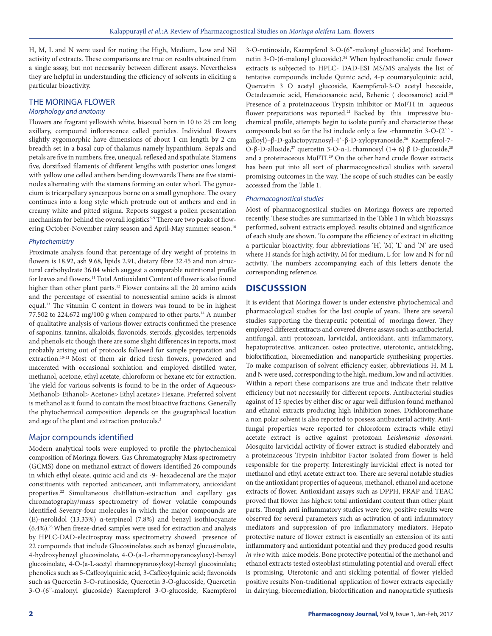H, M, L and N were used for noting the High, Medium, Low and Nil activity of extracts. These comparisons are true on results obtained from a single assay, but not necessarily between different assays. Nevertheless they are helpful in understanding the efficiency of solvents in eliciting a particular bioactivity.

# THE MORINGA FLOWER

#### *Morphology and anatomy*

Flowers are fragrant yellowish white, bisexual born in 10 to 25 cm long axillary, compound inflorescence called panicles. Individual flowers slightly zygomorphic have dimensions of about 1 cm length by 2 cm breadth set in a basal cup of thalamus namely hypanthium. Sepals and petals are five in numbers, free, unequal, reflexed and spathulate. Stamens five, dorsifixed filaments of different lengths with posterior ones longest with yellow one celled anthers bending downwards There are five staminodes alternating with the stamens forming an outer whorl. The gynoecium is tricarpellary syncarpous borne on a small gynophore. The ovary continues into a long style which protrude out of anthers and end in creamy white and pitted stigma. Reports suggest a pollen presentation mechanism for behind the overall logistics<sup>6-9</sup> There are two peaks of flowering October-November rainy season and April-May summer season.<sup>10</sup>

#### *Phytochemistry*

Proximate analysis found that percentage of dry weight of proteins in flowers is 18.92, ash 9.68, lipids 2.91, dietary fibre 32.45 and non structural carbohydrate 36.04 which suggest a comparable nutritional profile for leaves and flowers.<sup>11</sup> Total Antioxidant Content of flower is also found higher than other plant parts.<sup>12</sup> Flower contains all the 20 amino acids and the percentage of essential to nonessential amino acids is almost equal.13 The vitamin C content in flowers was found to be in highest 77.502 to 224.672 mg/100 g when compared to other parts.<sup>14</sup> A number of qualitative analysis of various flower extracts confirmed the presence of saponins, tannins, alkaloids, flavonoids, steroids, glycosides, terpenoids and phenols etc though there are some slight differences in reports, most probably arising out of protocols followed for sample preparation and extraction.15-21 Most of them air dried fresh flowers, powdered and macerated with occasional soxhlation and employed distilled water, methanol, acetone, ethyl acetate, chloroform or hexane etc for extraction. The yield for various solvents is found to be in the order of Aqueous> Methanol> Ethanol> Acetone> Ethyl acetate> Hexane. Preferred solvent is methanol as it found to contain the most bioactive fractions. Generally the phytochemical composition depends on the geographical location and age of the plant and extraction protocols.<sup>3</sup>

# Major compounds identified

Modern analytical tools were employed to profile the phytochemical composition of Moringa flowers. Gas Chromatography Mass spectrometry (GCMS) done on methanol extract of flowers identified 26 compounds in which ethyl oleate, quinic acid and cis -9- hexadecenal are the major constituents with reported anticancer, anti inflammatory, antioxidant properties.22 Simultaneous distillation-extraction and capillary gas chromatography/mass spectrometry of flower volatile compounds identified Seventy-four molecules in which the major compounds are (E)-nerolidol (13.33%) α-terpineol (7.8%) and benzyl isothiocyanate  $(6.4\%)$ .<sup>23</sup> When freeze-dried samples were used for extraction and analysis by HPLC-DAD-electrospray mass spectrometry showed presence of 22 compounds that include Glucosinolates such as benzyl glucosinolate, 4-hydroxybenzyl glucosinolate, 4-O-(a-L-rhamnopyranosyloxy)-benzyl glucosinolate, 4-O-(a-L-acetyl rhamnopyranosyloxy)-benzyl glucosinolate; phenolics such as 5-Caffeoylquinic acid, 3-Caffeoylquinic acid; flavonoids such as Quercetin 3-O-rutinoside, Quercetin 3-O-glucoside, Quercetin 3-O-(6"-malonyl glucoside) Kaempferol 3-O-glucoside, Kaempferol

3-O-rutinoside, Kaempferol 3-O-(6"-malonyl glucoside) and Isorhamnetin 3-O-(6-malonyl glucoside).<sup>24</sup> When hydroethanolic crude flower extracts is subjected to HPLC- DAD-ESI MS/MS analysis the list of tentative compounds include Quinic acid, 4-p coumaryolquinic acid, Quercetin 3 O acetyl glucoside, Kaempferol-3-O acetyl hexoside, Octadecenoic acid, Heneicosanoic acid, Behenic ( docosanoic) acid.25 Presence of a proteinaceous Trypsin inhibitor or MoFTI in aqueous flower preparations was reported.<sup>21</sup> Backed by this impressive biochemical profile, attempts begin to isolate purify and characterize these compounds but so far the list include only a few -rhamnetin 3-O-(2`` galloyl)–β-D-galactopyranosyl-4`-β-D-xylopyranoside,26 Kaempferol-7- O-β-D-alloside,<sup>27</sup> quercetin 3-O-α-L rhamnosyl (1→ 6) β D-glucoside,<sup>28</sup> and a proteinaceous MoFTI.<sup>29</sup> On the other hand crude flower extracts has been put into all sort of pharmacognostical studies with several promising outcomes in the way. The scope of such studies can be easily accessed from the Table 1.

#### *Pharmacognostical studies*

Most of pharmacognostical studies on Moringa flowers are reported recently. These studies are summarized in the Table 1 in which bioassays performed, solvent extracts employed, results obtained and significance of each study are shown. To compare the efficiency of extract in eliciting a particular bioactivity, four abbreviations 'H', 'M', 'L' and 'N' are used where H stands for high activity, M for medium, L for low and N for nil activity. The numbers accompanying each of this letters denote the corresponding reference.

# **DISCUSSSION**

It is evident that Moringa flower is under extensive phytochemical and pharmacological studies for the last couple of years. There are several studies supporting the therapeutic potential of moringa flower. They employed different extracts and covered diverse assays such as antibacterial, antifungal, anti protozoan, larvicidal, antioxidant, anti inflammatory, hepatoprotective, anticancer, osteo protective, uterotonic, antisickling, biofortification, bioremediation and nanoparticle synthesising properties. To make comparison of solvent efficiency easier, abbreviations H, M L and N were used, corresponding to the high, medium, low and nil activities. Within a report these comparisons are true and indicate their relative efficiency but not necessarily for different reports. Antibacterial studies against of 15 species by either disc or agar well diffusion found methanol and ethanol extracts producing high inhibition zones. Dichloromethane a non polar solvent is also reported to possess antibacterial activity. Antifungal properties were reported for chloroform extracts while ethyl acetate extract is active against protozoan *Leishmania donovani.* Mosquito larvicidal activity of flower extract is studied elaborately and a proteinaceous Trypsin inhibitor Factor isolated from flower is held responsible for the property. Interestingly larvicidal effect is noted for methanol and ethyl acetate extract too. There are several notable studies on the antioxidant properties of aqueous, methanol, ethanol and acetone extracts of flower. Antioxidant assays such as DPPH, FRAP and TEAC proved that flower has highest total antioxidant content than other plant parts. Though anti inflammatory studies were few, positive results were observed for several parameters such as activation of anti inflammatory mediators and suppression of pro inflammatory mediators. Hepato protective nature of flower extract is essentially an extension of its anti inflammatory and antioxidant potential and they produced good results *in vivo* with mice models. Bone protective potential of the methanol and ethanol extracts tested osteoblast stimulating potential and overall effect is promising. Uterotonic and anti sickling potential of flower yielded positive results Non-traditional application of flower extracts especially in dairying, bioremediation, biofortification and nanoparticle synthesis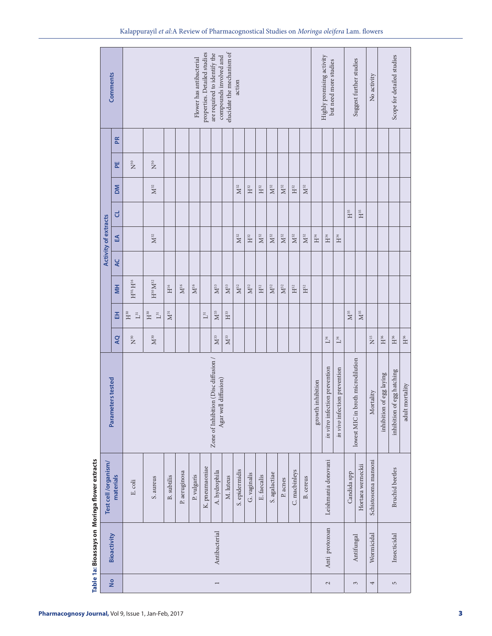|                                                                                                                                                                                                                                                                                                                                                                                                                                                                                                                                                                                                                                                                                                                                                                                                                                                                                                                                                                                                                                                                                                                                                                                                                                         | elucidate the mechanism of<br>properties. Detailed studies<br>are required to identify the<br>compounds involved and<br>Highly promising activity<br>Flower has antibacterial<br>Suggest further studies<br>but need more studies<br><b>Comments</b><br>action |
|-----------------------------------------------------------------------------------------------------------------------------------------------------------------------------------------------------------------------------------------------------------------------------------------------------------------------------------------------------------------------------------------------------------------------------------------------------------------------------------------------------------------------------------------------------------------------------------------------------------------------------------------------------------------------------------------------------------------------------------------------------------------------------------------------------------------------------------------------------------------------------------------------------------------------------------------------------------------------------------------------------------------------------------------------------------------------------------------------------------------------------------------------------------------------------------------------------------------------------------------|----------------------------------------------------------------------------------------------------------------------------------------------------------------------------------------------------------------------------------------------------------------|
| Æ<br>$\rm N^{30}$<br>$\mathbf{N}^{30}$<br>뿐<br>$\mathbf{M}^{32}$<br>MO<br>$\mathbf{M}^{32}$<br>$\mathbf{M}^{32}$<br>$\mathbf{M}^{32}$<br>$\mathbf{M}^{32}$<br>$\mathbf{H}^{32}$<br>$\mathbf{H}^{32}$<br>$\mathbf{H}^{32}$<br>$\mathbf{H}^\mathsf{35}$<br>$H^{35}$<br>ರ<br><b>Activity of extracts</b><br>$\mathbf{M}^{32}$<br>$\mathbf{M}^{32}$<br>$\mathbf{M}^{32}$<br>$\mathbf{M}^{32}$<br>$\mathbf{M}^{32}$<br>$\mathbf{M}^{32}$<br>$\mathbf{M}^{32}$<br>$\mathbf{H}^{32}$<br>$\mathbf{H}^{34}$<br>$\mathbf{H}^{34}$<br>岳<br>$\mathbf{H}^{34}$<br>QC<br>$H^{30}$ , $H^{16}$<br>$\mathbb{H}^{30}\mathbb{M}^{32}$<br>H<br>$\rm H^{16}$<br>$\rm M^{16}$<br>$\rm M^{16}$<br>$\mathbf{M}^{33}$<br>$\mathbf{M}^{33}$<br>$\mathbf{M}^{32}$<br>$\mathbf{M}^{32}$<br>$\mathbf{M}^{32}$<br>$\mathbf{M}^{32}$<br>$\mathbf{H}^{32}$<br>$\mathbb{H}^{32}$<br>$\mathbb{H}^{32}$<br>$\mathbf{M}^{35}$<br>$\mathbf{M}^{33}$<br>$\mathbf{M}^{35}$<br>$\mathbf{M}^{31}$<br>$\mathbf{H}^{30}$<br>$\mathbf{H}^{30}$<br>$\mathbf{H}^{33}$<br>$L^{31}$<br>$\mathsf{L}^{31}$<br>폾<br>$\mathbf{L}^{31}$<br>$\rm M^{30}$<br>$\mathbf{M}^{33}$<br><b>AQ</b><br>$\mathbf{M}^{33}$<br>$\tilde{\mathbf{N}}^{\text{SO}}$<br>$\mathbf{L}^{34}$<br>$\mathbf{L}^{34}$ | Scope for detailed studies<br>No activity                                                                                                                                                                                                                      |
|                                                                                                                                                                                                                                                                                                                                                                                                                                                                                                                                                                                                                                                                                                                                                                                                                                                                                                                                                                                                                                                                                                                                                                                                                                         |                                                                                                                                                                                                                                                                |
|                                                                                                                                                                                                                                                                                                                                                                                                                                                                                                                                                                                                                                                                                                                                                                                                                                                                                                                                                                                                                                                                                                                                                                                                                                         |                                                                                                                                                                                                                                                                |
|                                                                                                                                                                                                                                                                                                                                                                                                                                                                                                                                                                                                                                                                                                                                                                                                                                                                                                                                                                                                                                                                                                                                                                                                                                         |                                                                                                                                                                                                                                                                |
|                                                                                                                                                                                                                                                                                                                                                                                                                                                                                                                                                                                                                                                                                                                                                                                                                                                                                                                                                                                                                                                                                                                                                                                                                                         |                                                                                                                                                                                                                                                                |
|                                                                                                                                                                                                                                                                                                                                                                                                                                                                                                                                                                                                                                                                                                                                                                                                                                                                                                                                                                                                                                                                                                                                                                                                                                         |                                                                                                                                                                                                                                                                |
|                                                                                                                                                                                                                                                                                                                                                                                                                                                                                                                                                                                                                                                                                                                                                                                                                                                                                                                                                                                                                                                                                                                                                                                                                                         |                                                                                                                                                                                                                                                                |
|                                                                                                                                                                                                                                                                                                                                                                                                                                                                                                                                                                                                                                                                                                                                                                                                                                                                                                                                                                                                                                                                                                                                                                                                                                         |                                                                                                                                                                                                                                                                |
|                                                                                                                                                                                                                                                                                                                                                                                                                                                                                                                                                                                                                                                                                                                                                                                                                                                                                                                                                                                                                                                                                                                                                                                                                                         |                                                                                                                                                                                                                                                                |
|                                                                                                                                                                                                                                                                                                                                                                                                                                                                                                                                                                                                                                                                                                                                                                                                                                                                                                                                                                                                                                                                                                                                                                                                                                         |                                                                                                                                                                                                                                                                |
|                                                                                                                                                                                                                                                                                                                                                                                                                                                                                                                                                                                                                                                                                                                                                                                                                                                                                                                                                                                                                                                                                                                                                                                                                                         |                                                                                                                                                                                                                                                                |
|                                                                                                                                                                                                                                                                                                                                                                                                                                                                                                                                                                                                                                                                                                                                                                                                                                                                                                                                                                                                                                                                                                                                                                                                                                         |                                                                                                                                                                                                                                                                |
|                                                                                                                                                                                                                                                                                                                                                                                                                                                                                                                                                                                                                                                                                                                                                                                                                                                                                                                                                                                                                                                                                                                                                                                                                                         |                                                                                                                                                                                                                                                                |
|                                                                                                                                                                                                                                                                                                                                                                                                                                                                                                                                                                                                                                                                                                                                                                                                                                                                                                                                                                                                                                                                                                                                                                                                                                         |                                                                                                                                                                                                                                                                |
|                                                                                                                                                                                                                                                                                                                                                                                                                                                                                                                                                                                                                                                                                                                                                                                                                                                                                                                                                                                                                                                                                                                                                                                                                                         |                                                                                                                                                                                                                                                                |
|                                                                                                                                                                                                                                                                                                                                                                                                                                                                                                                                                                                                                                                                                                                                                                                                                                                                                                                                                                                                                                                                                                                                                                                                                                         |                                                                                                                                                                                                                                                                |
|                                                                                                                                                                                                                                                                                                                                                                                                                                                                                                                                                                                                                                                                                                                                                                                                                                                                                                                                                                                                                                                                                                                                                                                                                                         |                                                                                                                                                                                                                                                                |
|                                                                                                                                                                                                                                                                                                                                                                                                                                                                                                                                                                                                                                                                                                                                                                                                                                                                                                                                                                                                                                                                                                                                                                                                                                         |                                                                                                                                                                                                                                                                |
|                                                                                                                                                                                                                                                                                                                                                                                                                                                                                                                                                                                                                                                                                                                                                                                                                                                                                                                                                                                                                                                                                                                                                                                                                                         |                                                                                                                                                                                                                                                                |
|                                                                                                                                                                                                                                                                                                                                                                                                                                                                                                                                                                                                                                                                                                                                                                                                                                                                                                                                                                                                                                                                                                                                                                                                                                         |                                                                                                                                                                                                                                                                |
|                                                                                                                                                                                                                                                                                                                                                                                                                                                                                                                                                                                                                                                                                                                                                                                                                                                                                                                                                                                                                                                                                                                                                                                                                                         |                                                                                                                                                                                                                                                                |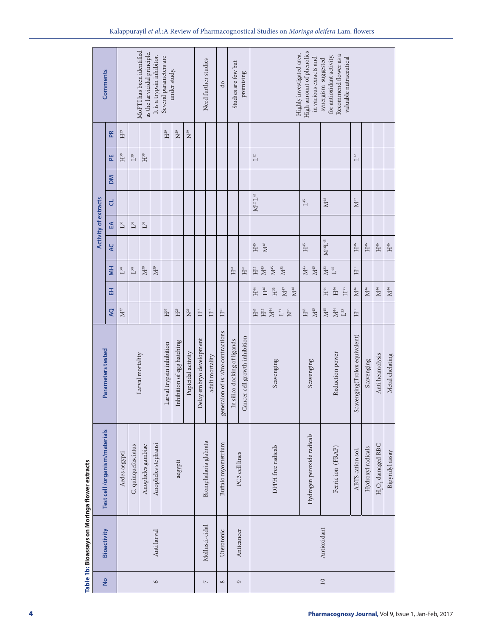| $\mathbf{H}^{29}$<br>$\mathbf{N}^{29}$<br>$\mathbf{H}^{29}$<br>$\rm N^{29}$<br>$\mathbf{R}$<br>$\mathbf{H}^\mathsf{38}$<br>$\mathbf{H}^\text{38}$<br>$\mathbf{L}^{\scriptscriptstyle{12}}$<br>$\mathbf{L}^{12}$<br>뿐<br>$\mathbb{L}^{38}$<br><b>NO</b><br>$\mathbf{M}^{12} \, \mathbf{L}^{45}$<br>$\mathbf{M}^{45}$<br>$\mathbf{M}^{12}$<br><b>Activity of extracts</b><br>$\mathcal{L}^{45}$<br>ರ<br>$\mathbb{L}^{38}$<br>$\mathbb{L}^{38}$<br>$L^{38}$<br>$\mathbb{E}$<br>$\rm M^{46}L^{45}$<br>$\rm M^{46}$<br>$\mathbf{H}^{45}$<br>$\mathbf{H}^{45}$<br>$\mathbf{H}^{46}$<br>$\mathbf{H}^{46}$<br>$\mathbf{H}^{46}$<br>$\mathbf{H}^{46}$<br>¥<br>$\mathbf{M}^{33}$<br>$\mathbf{M}^{38}$<br>$\mathbf{M}^{39}$<br>$\mathbf{M}^{43}$<br>$\rm M^{45}$<br>$\mathbf{M}^{33}$<br>$\mathbf{M}^{43}$<br>$\rm M^{45}$<br>$\rm H^{12}$<br>$\overline{\mathsf{M}}$<br>$\rm H^{42}$<br>$\rm H^{12}$<br>$\mathbf{H}^{41}$<br>$\mathbb{L}^{38}$<br>$\mathbb{L}^{38}$<br>$\mathbf{L}^{45}$<br>$\mathbf{H}^{46}$<br>$\mathbf{M}^{46}$<br>$\rm M^{46}$<br>$\mathbf{M}^{46}$<br>$\rm H^{46}$<br>$\mathbf{M}^{47}$<br>$\rm M^{46}$<br>$\mathbf{M}^{\text{48}}$<br>$\mathbf{H}^{33}$<br>$\mathbb{H}^4$<br>$\mathbf{H}^{33}$<br>$\mathbf{H}^4$<br>雷<br>$\rm M^{45}$<br>$\mathbf{M}^{45}$<br>$\mathbf{M}^{44}$<br>$\mathbf{M}^{37}$<br>$\mathbf{H}^{43}$<br>$\tilde{H}^2$<br>$\mathbf{M}^{44}$<br>Q<br>$\rm H^5$<br>$\rm H^{15}$<br>$\mathbf{H}^{40}$<br>$\mathbf{H}^{43}$<br>$H^2$<br>$\mathbf{H}^{37}$<br>$\mathbf{H}^{29}$<br>$\rm N^{29}$<br>$\mathbf{L}^{33}$<br>$\mathcal{L}^{33}$<br>generaion of in vitro contractions<br>Scavenging(Trolox equivalent)<br>Cancer cell growth inhibition<br>Delay embryo development<br>In silico docking of ligands<br>Inhibition of egg hatching<br>Larval trypsin inhibition<br>Parameters tested<br>Reduction power<br>Pupicidal activity<br>Larval mortality<br>Anti heamolysis<br>Metal chelating<br>adult mortality<br>Scavenging<br>Scavenging<br>Scavenging | Test cell /organism/materials<br>Hydrogen peroxide radicals<br>Biomphalaria glabrata<br>Buffalo myometrium<br>Anopheles stephansi<br>H, O, damaged RBC<br>C. quinquefasciatus<br>Anopheles gambiae<br>DPPH free radicals<br>Ferricion (FRAP)<br>Hydroxyl radicals<br>ABTS cation sol.<br>Bipyridyl assay<br>Aedes aegypti<br>PC3 cell lines<br>aegypti | <b>Comments</b>                 |                    | MoFTI has been identified<br>as the larvicidal principle.<br>It is a trypsin inhibitor.<br>Several parameters are<br>under study. |  |  |  |  |  |  | Need further studies<br>Studies are few but<br>සි |          |  | promising          | High amount of phenolics<br>Highly investigated area.<br>Recommend flower as a<br>for antioxidant activity.<br>valuable nutraceutical<br>in various exracts and<br>synergism suggested |        |  |  |  |  |  |  |  |  |  |  |
|-------------------------------------------------------------------------------------------------------------------------------------------------------------------------------------------------------------------------------------------------------------------------------------------------------------------------------------------------------------------------------------------------------------------------------------------------------------------------------------------------------------------------------------------------------------------------------------------------------------------------------------------------------------------------------------------------------------------------------------------------------------------------------------------------------------------------------------------------------------------------------------------------------------------------------------------------------------------------------------------------------------------------------------------------------------------------------------------------------------------------------------------------------------------------------------------------------------------------------------------------------------------------------------------------------------------------------------------------------------------------------------------------------------------------------------------------------------------------------------------------------------------------------------------------------------------------------------------------------------------------------------------------------------------------------------------------------------------------------------------------------------------------------------------------------------------------------------------------------------------------------------------------------------------------------------------------------------------------------------------|--------------------------------------------------------------------------------------------------------------------------------------------------------------------------------------------------------------------------------------------------------------------------------------------------------------------------------------------------------|---------------------------------|--------------------|-----------------------------------------------------------------------------------------------------------------------------------|--|--|--|--|--|--|---------------------------------------------------|----------|--|--------------------|----------------------------------------------------------------------------------------------------------------------------------------------------------------------------------------|--------|--|--|--|--|--|--|--|--|--|--|
|                                                                                                                                                                                                                                                                                                                                                                                                                                                                                                                                                                                                                                                                                                                                                                                                                                                                                                                                                                                                                                                                                                                                                                                                                                                                                                                                                                                                                                                                                                                                                                                                                                                                                                                                                                                                                                                                                                                                                                                           |                                                                                                                                                                                                                                                                                                                                                        |                                 |                    |                                                                                                                                   |  |  |  |  |  |  |                                                   |          |  |                    |                                                                                                                                                                                        |        |  |  |  |  |  |  |  |  |  |  |
|                                                                                                                                                                                                                                                                                                                                                                                                                                                                                                                                                                                                                                                                                                                                                                                                                                                                                                                                                                                                                                                                                                                                                                                                                                                                                                                                                                                                                                                                                                                                                                                                                                                                                                                                                                                                                                                                                                                                                                                           |                                                                                                                                                                                                                                                                                                                                                        |                                 |                    |                                                                                                                                   |  |  |  |  |  |  |                                                   |          |  |                    |                                                                                                                                                                                        |        |  |  |  |  |  |  |  |  |  |  |
|                                                                                                                                                                                                                                                                                                                                                                                                                                                                                                                                                                                                                                                                                                                                                                                                                                                                                                                                                                                                                                                                                                                                                                                                                                                                                                                                                                                                                                                                                                                                                                                                                                                                                                                                                                                                                                                                                                                                                                                           |                                                                                                                                                                                                                                                                                                                                                        |                                 |                    |                                                                                                                                   |  |  |  |  |  |  |                                                   |          |  |                    |                                                                                                                                                                                        |        |  |  |  |  |  |  |  |  |  |  |
|                                                                                                                                                                                                                                                                                                                                                                                                                                                                                                                                                                                                                                                                                                                                                                                                                                                                                                                                                                                                                                                                                                                                                                                                                                                                                                                                                                                                                                                                                                                                                                                                                                                                                                                                                                                                                                                                                                                                                                                           |                                                                                                                                                                                                                                                                                                                                                        |                                 |                    |                                                                                                                                   |  |  |  |  |  |  |                                                   |          |  |                    |                                                                                                                                                                                        |        |  |  |  |  |  |  |  |  |  |  |
|                                                                                                                                                                                                                                                                                                                                                                                                                                                                                                                                                                                                                                                                                                                                                                                                                                                                                                                                                                                                                                                                                                                                                                                                                                                                                                                                                                                                                                                                                                                                                                                                                                                                                                                                                                                                                                                                                                                                                                                           |                                                                                                                                                                                                                                                                                                                                                        |                                 |                    |                                                                                                                                   |  |  |  |  |  |  |                                                   |          |  |                    |                                                                                                                                                                                        |        |  |  |  |  |  |  |  |  |  |  |
|                                                                                                                                                                                                                                                                                                                                                                                                                                                                                                                                                                                                                                                                                                                                                                                                                                                                                                                                                                                                                                                                                                                                                                                                                                                                                                                                                                                                                                                                                                                                                                                                                                                                                                                                                                                                                                                                                                                                                                                           |                                                                                                                                                                                                                                                                                                                                                        |                                 |                    |                                                                                                                                   |  |  |  |  |  |  |                                                   |          |  |                    |                                                                                                                                                                                        |        |  |  |  |  |  |  |  |  |  |  |
|                                                                                                                                                                                                                                                                                                                                                                                                                                                                                                                                                                                                                                                                                                                                                                                                                                                                                                                                                                                                                                                                                                                                                                                                                                                                                                                                                                                                                                                                                                                                                                                                                                                                                                                                                                                                                                                                                                                                                                                           |                                                                                                                                                                                                                                                                                                                                                        |                                 |                    |                                                                                                                                   |  |  |  |  |  |  |                                                   |          |  |                    |                                                                                                                                                                                        |        |  |  |  |  |  |  |  |  |  |  |
|                                                                                                                                                                                                                                                                                                                                                                                                                                                                                                                                                                                                                                                                                                                                                                                                                                                                                                                                                                                                                                                                                                                                                                                                                                                                                                                                                                                                                                                                                                                                                                                                                                                                                                                                                                                                                                                                                                                                                                                           |                                                                                                                                                                                                                                                                                                                                                        |                                 |                    |                                                                                                                                   |  |  |  |  |  |  |                                                   |          |  |                    |                                                                                                                                                                                        |        |  |  |  |  |  |  |  |  |  |  |
|                                                                                                                                                                                                                                                                                                                                                                                                                                                                                                                                                                                                                                                                                                                                                                                                                                                                                                                                                                                                                                                                                                                                                                                                                                                                                                                                                                                                                                                                                                                                                                                                                                                                                                                                                                                                                                                                                                                                                                                           |                                                                                                                                                                                                                                                                                                                                                        |                                 |                    |                                                                                                                                   |  |  |  |  |  |  |                                                   |          |  |                    |                                                                                                                                                                                        |        |  |  |  |  |  |  |  |  |  |  |
|                                                                                                                                                                                                                                                                                                                                                                                                                                                                                                                                                                                                                                                                                                                                                                                                                                                                                                                                                                                                                                                                                                                                                                                                                                                                                                                                                                                                                                                                                                                                                                                                                                                                                                                                                                                                                                                                                                                                                                                           |                                                                                                                                                                                                                                                                                                                                                        |                                 |                    |                                                                                                                                   |  |  |  |  |  |  |                                                   |          |  |                    |                                                                                                                                                                                        |        |  |  |  |  |  |  |  |  |  |  |
| Mollusci-cidal<br>Antioxidant<br>Bioactivity<br>Uterotonic<br>Anticancer<br>Anti larval                                                                                                                                                                                                                                                                                                                                                                                                                                                                                                                                                                                                                                                                                                                                                                                                                                                                                                                                                                                                                                                                                                                                                                                                                                                                                                                                                                                                                                                                                                                                                                                                                                                                                                                                                                                                                                                                                                   |                                                                                                                                                                                                                                                                                                                                                        | $\frac{\mathsf{o}}{\mathsf{o}}$ | $\mathbf{\hat{o}}$ |                                                                                                                                   |  |  |  |  |  |  | $\mathord{\hspace{1pt}\text{--}\hspace{1pt}}$     | $\infty$ |  | $\mathbf{\hat{c}}$ |                                                                                                                                                                                        | $10\,$ |  |  |  |  |  |  |  |  |  |  |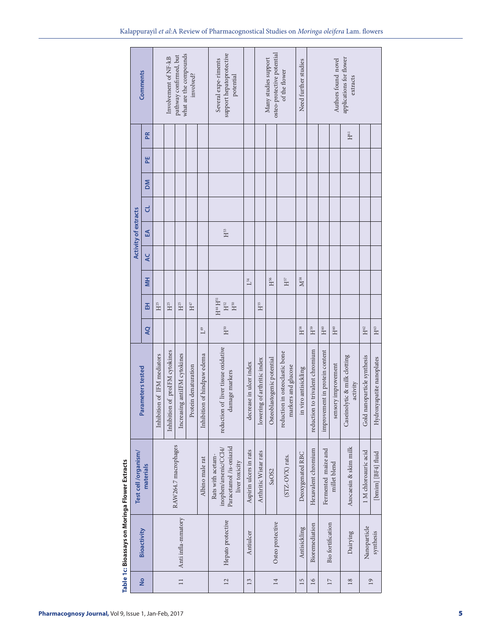|                                              | what are the compounds<br>pathway confirmed, but<br>Involvement of NF-kB<br><b>Comments</b><br>involved? |                                                      |                             |                                |                              |                      |                             | support hepatoprotective<br>Several expe-riments<br>potential                           |                         | osteo-protective potential<br>Many studies support | of the flower              | Need further studies                                  | applications for flower<br>Authors found novel<br>extracts |                                    |                                |                     |                                          |                             |                              |  |
|----------------------------------------------|----------------------------------------------------------------------------------------------------------|------------------------------------------------------|-----------------------------|--------------------------------|------------------------------|----------------------|-----------------------------|-----------------------------------------------------------------------------------------|-------------------------|----------------------------------------------------|----------------------------|-------------------------------------------------------|------------------------------------------------------------|------------------------------------|--------------------------------|---------------------|------------------------------------------|-----------------------------|------------------------------|--|
|                                              |                                                                                                          | Æ                                                    |                             |                                |                              |                      |                             |                                                                                         |                         |                                                    |                            |                                                       |                                                            |                                    |                                |                     | H <sup>61</sup>                          |                             |                              |  |
|                                              |                                                                                                          | 뿐                                                    |                             |                                |                              |                      |                             |                                                                                         |                         |                                                    |                            |                                                       |                                                            |                                    |                                |                     |                                          |                             |                              |  |
|                                              |                                                                                                          | MQ                                                   |                             |                                |                              |                      |                             |                                                                                         |                         |                                                    |                            |                                                       |                                                            |                                    |                                |                     |                                          |                             |                              |  |
|                                              |                                                                                                          | ರ                                                    |                             |                                |                              |                      |                             |                                                                                         |                         |                                                    |                            |                                                       |                                                            |                                    |                                |                     |                                          |                             |                              |  |
|                                              | <b>Activity of extracts</b>                                                                              | £Ā                                                   |                             |                                |                              |                      |                             | $H^{53}$                                                                                |                         |                                                    |                            |                                                       |                                                            |                                    |                                |                     |                                          |                             |                              |  |
|                                              |                                                                                                          | ¥                                                    |                             |                                |                              |                      |                             |                                                                                         |                         |                                                    |                            |                                                       |                                                            |                                    |                                |                     |                                          |                             |                              |  |
|                                              |                                                                                                          | H                                                    |                             |                                |                              |                      |                             |                                                                                         | $\mathsf{L}^{54}$       |                                                    | $H^{56}$                   | $H^{57}$                                              | $M^{58}$                                                   |                                    |                                |                     |                                          |                             |                              |  |
|                                              |                                                                                                          | 폾                                                    | $H^{25}$                    | $\mathbf{H}^{25}$              | $H^{25}$                     | $\mathbf{H}^{47}$    |                             | $H^{44}H^{51}$<br>$\rm H^{52}$<br>$\rm H^{50}$                                          |                         | H <sub>55</sub>                                    |                            |                                                       |                                                            |                                    |                                |                     |                                          |                             |                              |  |
|                                              |                                                                                                          | Q                                                    |                             |                                |                              |                      | $\mathcal{L}^{49}$          | $H^{50}$                                                                                |                         |                                                    |                            |                                                       | $H^{58}$                                                   | H <sub>59</sub>                    | H <sub>60</sub>                | $\mathbf{H}^{60}$   |                                          | $\rm H^{62}$                | $\mathbf{H}^{\mathfrak{ss}}$ |  |
|                                              |                                                                                                          | Parameters tested                                    | Inhibition of IFM mediators | Inhibition of proIFM cytokines | Increasing antiIFM cytokines | Protein denaturation | Inhibition of hindpaw edema | reduction of liver tissue oxidative<br>damage markers                                   | decrease in ulcer index | lowering of arthritic index                        | Osteoblastogenic potential | reduction in osteoclastic bone<br>markers and glucose | in viro antisickling                                       | to trivalent chromium<br>reduction | improvement in protein content | sensory improvement | Caseinolytic & milk clotting<br>activity | Gold nanoparticle synthesis | Hydroxyapatite nanoplates    |  |
|                                              | Test cell /organism/                                                                                     | RAW264.7 macrophages<br>Albino male rat<br>materials |                             |                                |                              |                      |                             | Paracetamol /is-oniazid<br>inophen/arsenic/CCl4/<br>Rats with acetam-<br>liver toxicity | Aspirin ulcers in rats  | Arthritic Wistar rats                              | SaOS2                      | $(STZ-OVX)$ rats.                                     | Deoxygenated RBC                                           | Hexavalent chromium                | Fermented maize and            | millet blend        | Azocaesin & skim milk                    | 1 M chloroauric acid        | [bmim] [BF4] fluid           |  |
| aple TC: bloassays on Mornga Flower Extracts |                                                                                                          | Bioactivity                                          |                             |                                | Anti infla-mmatory           |                      |                             | Hepato protective                                                                       | Antiulcer               |                                                    | Osteo protective           |                                                       | Antisickling                                               | Bioremediation                     | Bio fortification              |                     | Dairying                                 | Nanoparticle                | synthesis                    |  |
|                                              |                                                                                                          | $\frac{1}{2}$                                        |                             | $\Box$                         |                              |                      |                             | 12                                                                                      | 13                      |                                                    | 14                         |                                                       | 15                                                         | 16                                 | 17                             |                     | 18                                       | $\overline{19}$             |                              |  |

**Table 1c: Bioassays on Moringa Flower Extracts** Í P Table 1c Ri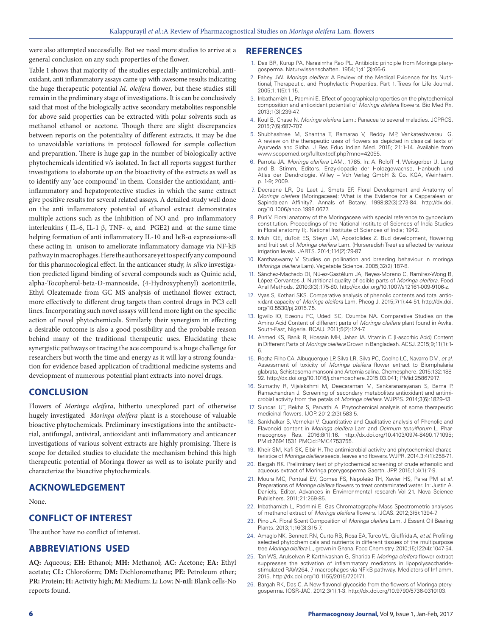were also attempted successfully. But we need more studies to arrive at a general conclusion on any such properties of the flower.

Table 1 shows that majority of the studies especially antimicrobial, antioxidant, anti inflammatory assays came up with awesome results indicating the huge therapeutic potential *M. oleifera* flower, but these studies still remain in the preliminary stage of investigations. It is can be conclusively said that most of the biologically active secondary metabolites responsible for above said properties can be extracted with polar solvents such as methanol ethanol or acetone. Though there are slight discrepancies between reports on the potentiality of different extracts, it may be due to unavoidable variations in protocol followed for sample collection and preparation. There is huge gap in the number of biologically active phytochemicals identified v/s isolated. In fact all reports suggest further investigations to elaborate up on the bioactivity of the extracts as well as to identify any 'ace compound' in them. Consider the antioxidant, antiinflammatory and hepatoprotective studies in which the same extract give positive results for several related assays. A detailed study well done on the anti inflammatory potential of ethanol extract demonstrates multiple actions such as the Inhibition of NO and pro inflammatory interleukins (IL-6, IL-1 β, TNF-  $\alpha$ , and PGE2) and at the same time helping formation of anti inflammatory IL-10 and IκB-α expressions-all these acting in unison to ameliorate inflammatory damage via NF-kB pathway in macrophages. Here the authors are yet to specify any compound for this pharmocological effect. In the anticancer study, *in silico* investigation predicted ligand binding of several compounds such as Quinic acid, alpha-Tocopherol-beta-D-mannoside, (4-Hydroxyphenyl) acetonitrile, Ethyl Oleatemade from GC MS analysis of methanol flower extract, more effectively to different drug targets than control drugs in PC3 cell lines. Incorporating such novel assays will lend more light on the specific action of novel phytochemicals. Similarly their synergism in effecting a desirable outcome is also a good possibility and the probable reason behind many of the traditional therapeutic uses. Elucidating these synergistic pathways or tracing the ace compound is a huge challenge for researchers but worth the time and energy as it will lay a strong foundation for evidence based application of traditional medicine systems and development of numerous potential plant extracts into novel drugs.

# **CONCLUSION**

Flowers of *Moringa oleifera*, hitherto unexplored part of otherwise hugely investigated *Moringa oleifera* plant is a storehouse of valuable bioactive phytochemicals. Preliminary investigations into the antibacterial, antifungal, antiviral, antioxidant anti inflammatory and anticancer investigations of various solvent extracts are highly promising. There is scope for detailed studies to elucidate the mechanism behind this high therapeutic potential of Moringa flower as well as to isolate purify and characterize the bioactive phytochemicals.

#### **ACKNOWLEDGEMENT**

None.

#### **CONFLICT OF INTEREST**

The author have no conflict of interest.

# **ABBREVIATIONS USED**

**AQ:** Aqueous; **EH:** Ethanol; **MH:** Methanol; **AC:** Acetone; **EA:** Ethyl acetate; **CL:** Chloroform; **DM:** Dichloromethane; **PE:** Petroleum ether; **PR:** Protein; **H:** Activity high; **M:** Medium; **L:** Low; **N-nil:** Blank cells-No reports found.

#### **REFERENCES**

- 1. Das BR, Kurup PA, Narasimha Rao PL. Antibiotic principle from Moringa pterygosperma. Naturwissenschaften. 1954;1;41(3):66-6.
- 2. Fahey JW. *Moringa oleifera*: A Review of the Medical Evidence for Its Nutritional, Therapeutic, and Prophylactic Properties. Part 1. Trees for Life Journal. 2005;1;1(5):1-15.
- 3. Inbathamizh L, Padmini E. Effect of geographical properties on the phytochemical composition and antioxidant potential of *Moringa oleifera* flowers. Bio Med Rx. 2013;1(3):239-47.
- 4. Koul B, Chase N. *Moringa oleifera* Lam.: Panacea to several maladies. JCPRCS. 2015;7(6):687-707.
- 5. Shubhashree M, Shantha T, Ramarao V, Reddy MP, Venkateshwaraul G. A review on the therapeutic uses of flowers as depicted in classical texts of Ayurveda and Sidha. J Res Educ Indian Med. 2015; 21:1-14. Available from www.scopemed.org/fulltextpdf.php?mno=42055.
- 6. Parrota JA. *Moringa oleifera* LAM., 1785. In: A. Roloff H. Weisgerber U. Lang and B. Stimm, Editors. Enzyklopadie der Holozgewachse, Hanbuch und Atlas der Dendrologie. Wiley – Vch Verlag GmbH & Co. KGA, Weinheim, p. 1-9; 2009.
- 7. Decraene LR, De Laet J, Smets EF. Floral Development and Anatomy of *Moringa oleifera* (Moringaceae): What is the Evidence for a Capparalean or Sapindalean Affinity?. Annals of Botany. 1998;82(3):273-84. http://dx.doi. org/10.1006/anbo.1998.0677.
- 8. Puri V. Floral anatomy of the Moringaceae with special reference to gynoecium constitution. Proceedings of the National Institute of Sciences of India Studies in Floral anatomy II;. National Institute of Sciences of India; 1942.
- 9. Muhl QE, duToit ES, Steyn JM, Apostolides Z. Bud development, flowering and fruit set of *Moringa oleifera* Lam. (Horseradish Tree) as affected by various irrigation levels. JARTS. 2014;114(2):79-87.
- 10. Kanthaswamy V. Studies on pollination and breeding behaviour in moringa (*Moringa oleifera* Lam). Vegetable Science. 2005;32(2):187-8.
- 11. Sánchez-Machado DI, Nú-ez-Gastélum JA, Reyes-Moreno C, Ramírez-Wong B, López-Cervantes J. Nutritional quality of edible parts of *Moringa oleifera*. Food Anal Methods. 2010;3(3):175-80. http://dx.doi.org/10.1007/s12161-009-9106-z.
- 12. Vyas S, Kothari SKS. Comparative analysis of phenolic contents and total antioxidant capacity of *Moringa oleifera* Lam. Phcog J. 2015;7(1):44-51. http://dx.doi. org/10.5530/pj.2015.7.5.
- 13. Igwilo IO, Ezeonu FC, Udedi SC, Ozumba NA. Comparative Studies on the Amino Acid Content of different parts of *Moringa oleifera* plant found in Awka, South-East, Nigeria. BCAIJ. 2011;5(2):124-7.
- 14. Ahmed KS, Banik R, Hossain MH, Jahan IA. Vitamin C (L-ascorbic Acid) Content in Different Parts of *Moringa oleifera* Grown in Bangladesh. ACSJ. 2015;9;11(1):1- 6.
- 15. Rocha-Filho CA, Albuquerque LP, Silva LR, Silva PC, Coelho LC, Navarro DM, *et al*. Assessment of toxicity of *Moringa oleifera* flower extract to Biomphalaria glabrata, Schistosoma mansoni and Artemia salina. Chemosphere. 2015;132:188- 92. http://dx.doi.org/10.1016/j.chemosphere.2015.03.041; PMid:25867917.
- 16. Sumathy R, Vijalakshmi M, Deecaraman M, Sankaranarayanan S, Bama P, Ramachandran J. Screening of secondary metabolites antioxidant and antimicrobial activity from the petals of *Moringa oleifera*. WJPPS. 2014;3(6):1829-43.
- 17. Sundari UT, Rekha S, Parvathi A. Phytochemical analysis of some therapeutic medicinal flowers. IJOP. 2012;2(3):583-5.
- 18. Sankhalkar S, Vernekar V. Quantitative and Qualitative analysis of Phenolic and Flavonoid content in *Moringa oleifera* Lam and *Ocimum tenuiflorum* L. Pharmacognosy Res. 2016;8(1):16. http://dx.doi.org/10.4103/0974-8490.171095; PMid:26941531 PMCid:PMC4753755.
- 19. Kheir SM, Kafi SK, Elbir H. The antimicrobial activity and phytochemical characteristice of *Moringa oleifera* seeds, leaves and flowers. WJPR. 2014.3;4(1):258-71.
- 20. Bargah RK. Preliminary test of phytochemical screening of crude ethanolic and aqueous extract of Moringa pterygosperma Gaertn. JPP. 2015;1;4(1):7-9.
- 21. Moura MC, Pontual EV, Gomes FS, Napoleão TH, Xavier HS, Paiva PM *et al*. Preparations of *Moringa oleifera* flowers to treat contaminated water. In: Justin A. Daniels, Editor. Advances in Envinronmental research Vol 21. Nova Science Publishers. 2011;21:269-85.
- 22. Inbathamizh L, Padmini E. Gas Chromatography-Mass Spectrometric analyses of methanol extract of *Moringa oleifera* flowers. IJCAS. 2012;3(5):1394-7.
- 23. Pino JA. Floral Scent Composition of *Moringa oleifera* Lam. J Essent Oil Bearing Plants. 2013;1;16(3):315-7.
- 24. Amaglo NK, Bennett RN, Curto RB, Rosa EA, Turco VL, Giuffrida A, *et al*. Profiling selected phytochemicals and nutrients in different tissues of the multipurpose tree *Moringa oleifera* L., grown in Ghana. Food Chemistry. 2010;15;122(4):1047-54.
- 25. Tan WS, Arulselvan P, Karthivashan G, Sharida F. *Moringa oleifera* flower extract suppresses the activation of inflammatory mediators in lipopolysaccharidestimulated RAW264. 7 macrophages via NF-kB pathway. Mediators of Inflamm. 2015. http://dx.doi.org/10.1155/2015/720171.
- 26. Bargah RK, Das C. A New flavonol glycoside from the flowers of Moringa pterygosperma. IOSR-JAC. 2012;3(1):1-3. http://dx.doi.org/10.9790/5736-0310103.